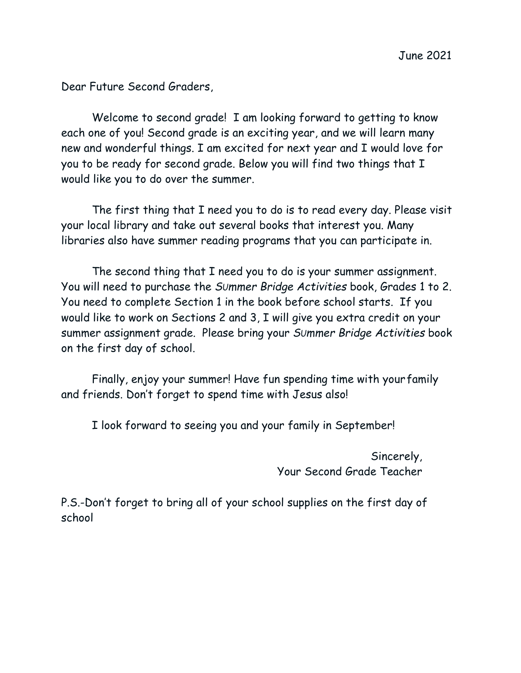Dear Future Second Graders,

Welcome to second grade! I am looking forward to getting to know each one of you! Second grade is an exciting year, and we will learn many new and wonderful things. I am excited for next year and I would love for you to be ready for second grade. Below you will find two things that I would like you to do over the summer.

The first thing that I need you to do is to read every day. Please visit your local library and take out several books that interest you. Many libraries also have summer reading programs that you can participate in.

The second thing that I need you to do is your summer assignment. You will need to purchase the *SUmmer Bridge Activities* book, Grades 1 to 2. You need to complete Section 1 in the book before school starts. If you would like to work on Sections 2 and 3, I will give you extra credit on your summer assignment grade. Please bring your *SUmmer Bridge Activities* book on the first day of school.

Finally, enjoy your summer! Have fun spending time with yourfamily and friends. Don't forget to spend time with Jesus also!

I look forward to seeing you and your family in September!

Sincerely, Your Second Grade Teacher

P.S.-Don't forget to bring all of your school supplies on the first day of school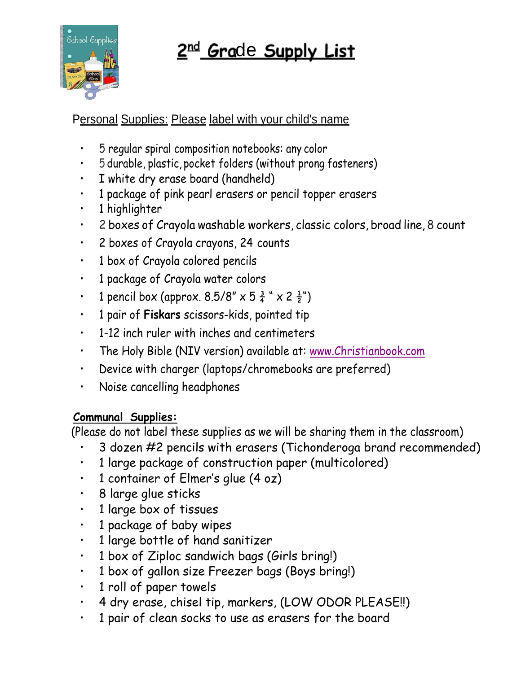



Personal Supplies: Please label with your child's name

- 5 regular spiral composition notebooks: any color
- 5 durable, plastic, pocket folders (without prong fasteners)
- I white dry erase board (handheld)
- 1 package of pink pearl erasers or pencil topper erasers
- 1 highlighter
- 2 boxes of Crayola washable workers, classic colors, broad line, 8 count
- 2 boxes of Crayola crayons, 24 counts
- 1 box of Crayola colored pencils
- 1 package of Crayola water colors
- 1 pencil box (approx.  $8.5/8'' \times 5 \frac{3}{4}'' \times 2 \frac{1}{2}''$ )
- 1 pair of **Fiskars** scissors-kids, pointed tip
- 1-12 inch ruler with inches and centimeters
- The Holy Bible (NIV version) available at: [www.Christianbook.com](http://www.christianbook.com/)
- Device with charger (laptops/chromebooks are preferred)
- Noise cancelling headphones

## **Communal Supplies:**

(Please do not label these supplies as we will be sharing them in the classroom)

- 3 dozen #2 pencils with erasers (Tichonderoga brand recommended)
- 1 large package of construction paper (multicolored)
- 1 container of Elmer's glue (4 oz)
- 8 large glue sticks
- 1 large box of tissues
- 1 package of baby wipes
- 1 large bottle of hand sanitizer
- 1 box of Ziploc sandwich bags (Girls bring!)
- 1 box of gallon size Freezer bags (Boys bring!)
- 1 roll of paper towels
- 4 dry erase, chisel tip, markers, (LOW ODOR PLEASE!!)
- 1 pair of clean socks to use as erasers for the board